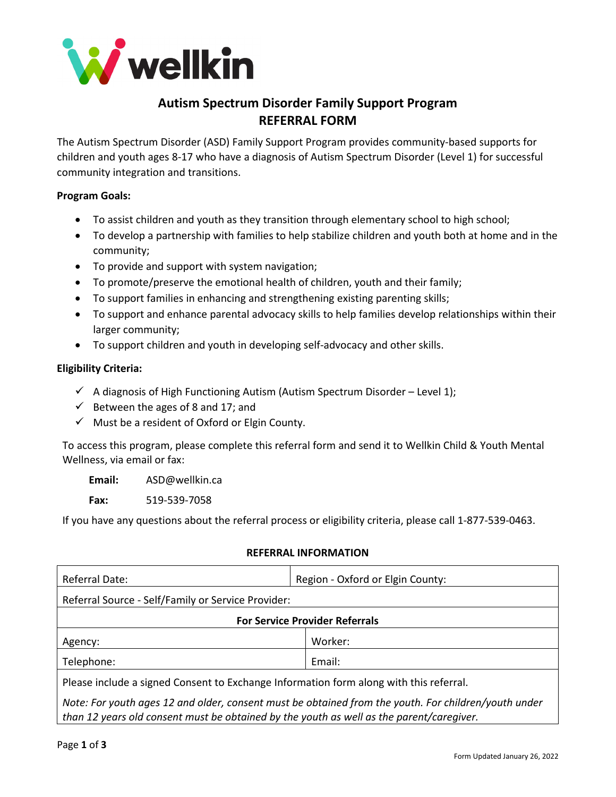

# **Autism Spectrum Disorder Family Support Program REFERRAL FORM**

The Autism Spectrum Disorder (ASD) Family Support Program provides community-based supports for children and youth ages 8-17 who have a diagnosis of Autism Spectrum Disorder (Level 1) for successful community integration and transitions.

## **Program Goals:**

- To assist children and youth as they transition through elementary school to high school;
- To develop a partnership with families to help stabilize children and youth both at home and in the community;
- To provide and support with system navigation;
- To promote/preserve the emotional health of children, youth and their family;
- To support families in enhancing and strengthening existing parenting skills;
- To support and enhance parental advocacy skills to help families develop relationships within their larger community;
- To support children and youth in developing self-advocacy and other skills.

### **Eligibility Criteria:**

- $\checkmark$  A diagnosis of High Functioning Autism (Autism Spectrum Disorder Level 1);
- $\checkmark$  Between the ages of 8 and 17; and
- $\checkmark$  Must be a resident of Oxford or Elgin County.

To access this program, please complete this referral form and send it to Wellkin Child & Youth Mental Wellness, via email or fax:

**Email:** ASD@wellkin.ca

**Fax:** 519-539-7058

If you have any questions about the referral process or eligibility criteria, please call 1-877-539-0463.

### **REFERRAL INFORMATION**

| Referral Date:                                                                                       | Region - Oxford or Elgin County: |  |
|------------------------------------------------------------------------------------------------------|----------------------------------|--|
| Referral Source - Self/Family or Service Provider:                                                   |                                  |  |
| <b>For Service Provider Referrals</b>                                                                |                                  |  |
| Agency:                                                                                              | Worker:                          |  |
| Telephone:                                                                                           | Email:                           |  |
| Please include a signed Consent to Exchange Information form along with this referral.               |                                  |  |
| Note: For youth ages 12 and older, consent must be obtained from the youth. For children/youth under |                                  |  |

*than 12 years old consent must be obtained by the youth as well as the parent/caregiver.*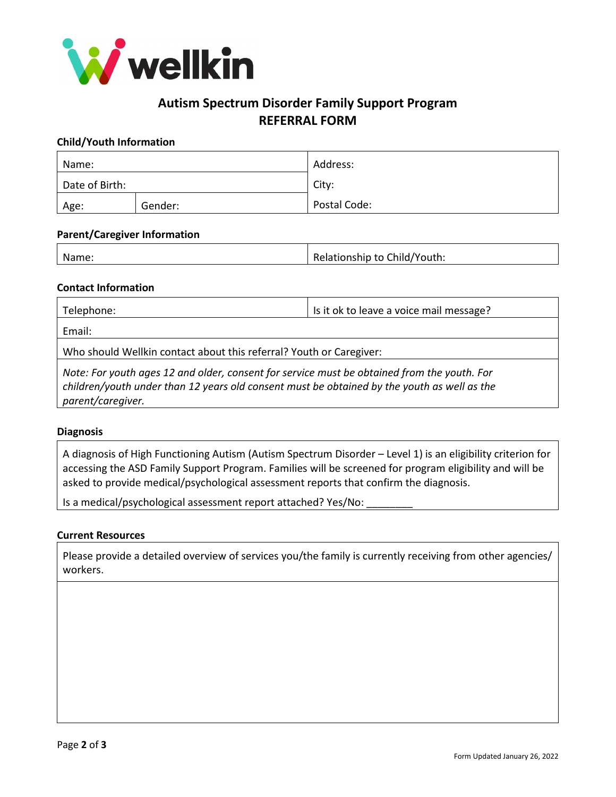

## **Autism Spectrum Disorder Family Support Program REFERRAL FORM**

#### **Child/Youth Information**

| Name:          |         | Address:     |
|----------------|---------|--------------|
| Date of Birth: |         | City:        |
| Age:           | Gender: | Postal Code: |

#### **Parent/Caregiver Information**

|  | Name: | Relationship to Child/Youth: |
|--|-------|------------------------------|
|--|-------|------------------------------|

#### **Contact Information**

| Telephone:                                                          | Is it ok to leave a voice mail message?                                                                                                                                                                                                                                                         |  |
|---------------------------------------------------------------------|-------------------------------------------------------------------------------------------------------------------------------------------------------------------------------------------------------------------------------------------------------------------------------------------------|--|
| Email:                                                              |                                                                                                                                                                                                                                                                                                 |  |
| Who should Wellkin contact about this referral? Youth or Caregiver: |                                                                                                                                                                                                                                                                                                 |  |
| .                                                                   | . The contract of the contract of the contract of $\mathcal{A}$ and $\mathcal{A}$ and $\mathcal{A}$ and $\mathcal{A}$ and $\mathcal{A}$ and $\mathcal{A}$ and $\mathcal{A}$ and $\mathcal{A}$ and $\mathcal{A}$ and $\mathcal{A}$ and $\mathcal{A}$ and $\mathcal{A}$ and $\mathcal{A}$ and $\$ |  |

*Note: For youth ages 12 and older, consent for service must be obtained from the youth. For children/youth under than 12 years old consent must be obtained by the youth as well as the parent/caregiver.*

#### **Diagnosis**

A diagnosis of High Functioning Autism (Autism Spectrum Disorder – Level 1) is an eligibility criterion for accessing the ASD Family Support Program. Families will be screened for program eligibility and will be asked to provide medical/psychological assessment reports that confirm the diagnosis.

Is a medical/psychological assessment report attached? Yes/No:

#### **Current Resources**

Please provide a detailed overview of services you/the family is currently receiving from other agencies/ workers.